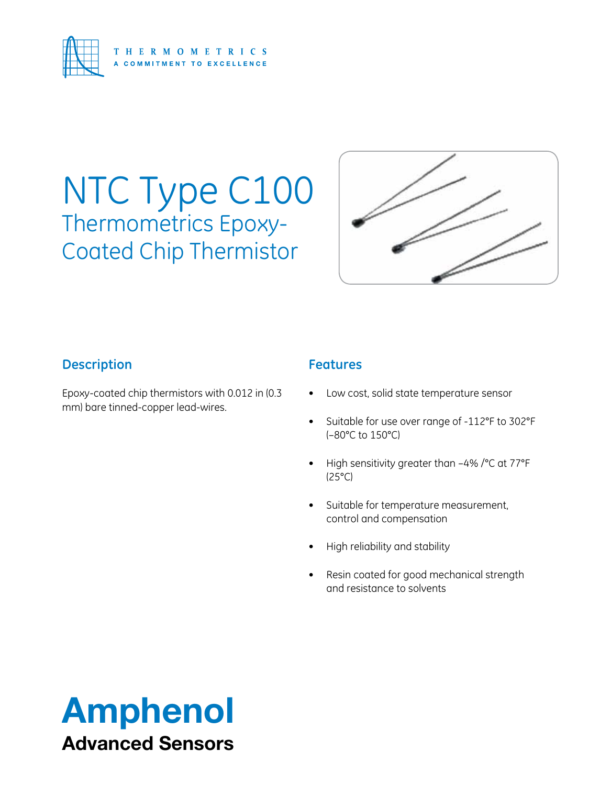

## NTC Type C100 Thermometrics Epoxy-Coated Chip Thermistor



#### **Description**

Epoxy-coated chip thermistors with 0.012 in (0.3 mm) bare tinned-copper lead-wires.

#### **Features**

- Low cost, solid state temperature sensor
- • Suitable for use over range of -112°F to 302°F (–80°C to 150°C)
- High sensitivity greater than  $-4\%$  / $°C$  at 77 $°F$ (25°C)
- • Suitable for temperature measurement, control and compensation
- High reliability and stability
- • Resin coated for good mechanical strength and resistance to solvents